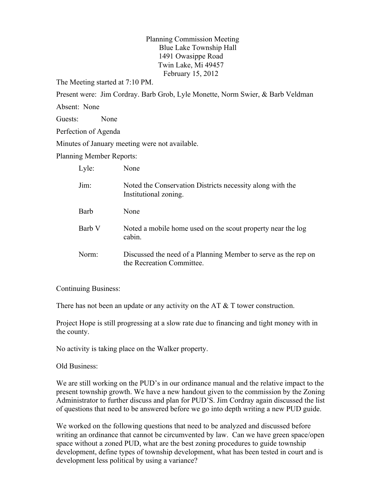Planning Commission Meeting Blue Lake Township Hall 1491 Owasippe Road Twin Lake, Mi 49457 February 15, 2012

The Meeting started at 7:10 PM.

Present were: Jim Cordray. Barb Grob, Lyle Monette, Norm Swier, & Barb Veldman

Absent: None

Guests: None

Perfection of Agenda

Minutes of January meeting were not available.

Planning Member Reports:

| Lyle:  | None                                                                                        |
|--------|---------------------------------------------------------------------------------------------|
| Jim:   | Noted the Conservation Districts necessity along with the<br>Institutional zoning.          |
| Barb   | None                                                                                        |
| Barb V | Noted a mobile home used on the scout property near the log<br>cabin.                       |
| Norm:  | Discussed the need of a Planning Member to serve as the rep on<br>the Recreation Committee. |

Continuing Business:

There has not been an update or any activity on the AT  $&$  T tower construction.

Project Hope is still progressing at a slow rate due to financing and tight money with in the county.

No activity is taking place on the Walker property.

Old Business:

We are still working on the PUD's in our ordinance manual and the relative impact to the present township growth. We have a new handout given to the commission by the Zoning Administrator to further discuss and plan for PUD'S. Jim Cordray again discussed the list of questions that need to be answered before we go into depth writing a new PUD guide.

We worked on the following questions that need to be analyzed and discussed before writing an ordinance that cannot be circumvented by law. Can we have green space/open space without a zoned PUD, what are the best zoning procedures to guide township development, define types of township development, what has been tested in court and is development less political by using a variance?